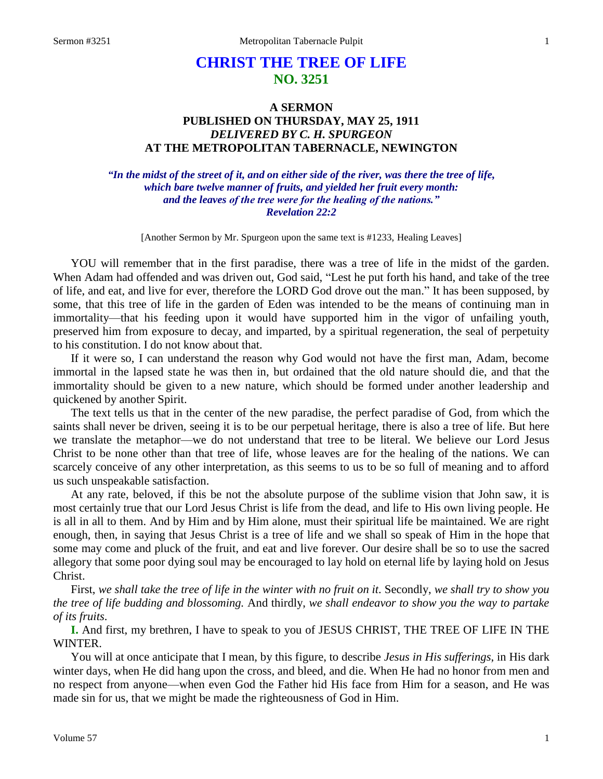# **CHRIST THE TREE OF LIFE NO. 3251**

# **A SERMON PUBLISHED ON THURSDAY, MAY 25, 1911** *DELIVERED BY C. H. SPURGEON* **AT THE METROPOLITAN TABERNACLE, NEWINGTON**

*"In the midst of the street of it, and on either side of the river, was there the tree of life, which bare twelve manner of fruits, and yielded her fruit every month: and the leaves of the tree were for the healing of the nations." Revelation 22:2*

[Another Sermon by Mr. Spurgeon upon the same text is #1233, Healing Leaves]

YOU will remember that in the first paradise, there was a tree of life in the midst of the garden. When Adam had offended and was driven out, God said, "Lest he put forth his hand, and take of the tree of life, and eat, and live for ever, therefore the LORD God drove out the man." It has been supposed, by some, that this tree of life in the garden of Eden was intended to be the means of continuing man in immortality—that his feeding upon it would have supported him in the vigor of unfailing youth, preserved him from exposure to decay, and imparted, by a spiritual regeneration, the seal of perpetuity to his constitution. I do not know about that.

If it were so, I can understand the reason why God would not have the first man, Adam, become immortal in the lapsed state he was then in, but ordained that the old nature should die, and that the immortality should be given to a new nature, which should be formed under another leadership and quickened by another Spirit.

The text tells us that in the center of the new paradise, the perfect paradise of God, from which the saints shall never be driven, seeing it is to be our perpetual heritage, there is also a tree of life. But here we translate the metaphor—we do not understand that tree to be literal. We believe our Lord Jesus Christ to be none other than that tree of life, whose leaves are for the healing of the nations. We can scarcely conceive of any other interpretation, as this seems to us to be so full of meaning and to afford us such unspeakable satisfaction.

At any rate, beloved, if this be not the absolute purpose of the sublime vision that John saw, it is most certainly true that our Lord Jesus Christ is life from the dead, and life to His own living people. He is all in all to them. And by Him and by Him alone, must their spiritual life be maintained. We are right enough, then, in saying that Jesus Christ is a tree of life and we shall so speak of Him in the hope that some may come and pluck of the fruit, and eat and live forever. Our desire shall be so to use the sacred allegory that some poor dying soul may be encouraged to lay hold on eternal life by laying hold on Jesus Christ.

First, *we shall take the tree of life in the winter with no fruit on it.* Secondly, *we shall try to show you the tree of life budding and blossoming.* And thirdly, *we shall endeavor to show you the way to partake of its fruits*.

**I.** And first, my brethren, I have to speak to you of JESUS CHRIST, THE TREE OF LIFE IN THE WINTER.

You will at once anticipate that I mean, by this figure, to describe *Jesus in His sufferings*, in His dark winter days, when He did hang upon the cross, and bleed, and die. When He had no honor from men and no respect from anyone—when even God the Father hid His face from Him for a season, and He was made sin for us, that we might be made the righteousness of God in Him.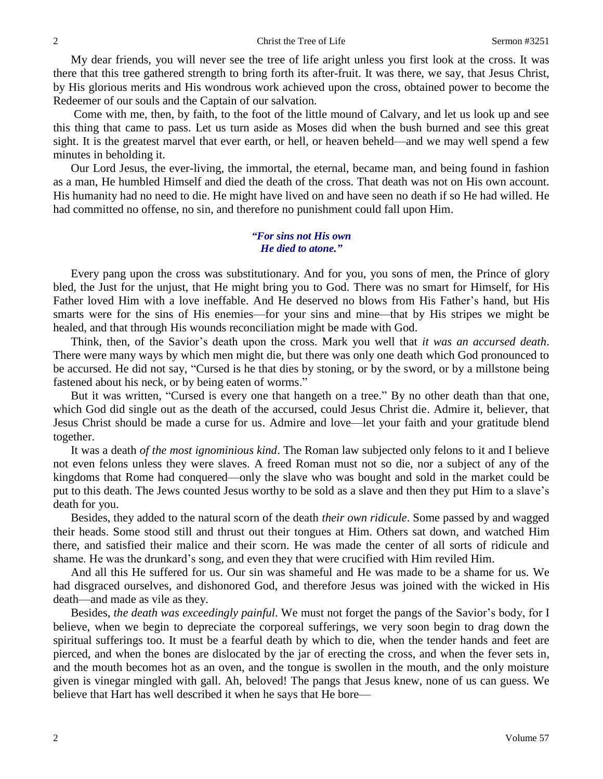My dear friends, you will never see the tree of life aright unless you first look at the cross. It was there that this tree gathered strength to bring forth its after-fruit. It was there, we say, that Jesus Christ, by His glorious merits and His wondrous work achieved upon the cross, obtained power to become the Redeemer of our souls and the Captain of our salvation.

Come with me, then, by faith, to the foot of the little mound of Calvary, and let us look up and see this thing that came to pass. Let us turn aside as Moses did when the bush burned and see this great sight. It is the greatest marvel that ever earth, or hell, or heaven beheld—and we may well spend a few minutes in beholding it.

Our Lord Jesus, the ever-living, the immortal, the eternal, became man, and being found in fashion as a man, He humbled Himself and died the death of the cross. That death was not on His own account. His humanity had no need to die. He might have lived on and have seen no death if so He had willed. He had committed no offense, no sin, and therefore no punishment could fall upon Him.

### *"For sins not His own He died to atone."*

Every pang upon the cross was substitutionary. And for you, you sons of men, the Prince of glory bled, the Just for the unjust, that He might bring you to God. There was no smart for Himself, for His Father loved Him with a love ineffable. And He deserved no blows from His Father's hand, but His smarts were for the sins of His enemies—for your sins and mine*—*that by His stripes we might be healed, and that through His wounds reconciliation might be made with God.

Think, then, of the Savior's death upon the cross. Mark you well that *it was an accursed death*. There were many ways by which men might die, but there was only one death which God pronounced to be accursed. He did not say, "Cursed is he that dies by stoning, or by the sword, or by a millstone being fastened about his neck, or by being eaten of worms."

But it was written, "Cursed is every one that hangeth on a tree." By no other death than that one, which God did single out as the death of the accursed, could Jesus Christ die. Admire it, believer, that Jesus Christ should be made a curse for us. Admire and love—let your faith and your gratitude blend together.

It was a death *of the most ignominious kind*. The Roman law subjected only felons to it and I believe not even felons unless they were slaves. A freed Roman must not so die, nor a subject of any of the kingdoms that Rome had conquered—only the slave who was bought and sold in the market could be put to this death. The Jews counted Jesus worthy to be sold as a slave and then they put Him to a slave's death for you.

Besides, they added to the natural scorn of the death *their own ridicule*. Some passed by and wagged their heads. Some stood still and thrust out their tongues at Him. Others sat down, and watched Him there, and satisfied their malice and their scorn. He was made the center of all sorts of ridicule and shame. He was the drunkard's song, and even they that were crucified with Him reviled Him.

And all this He suffered for us. Our sin was shameful and He was made to be a shame for us. We had disgraced ourselves, and dishonored God, and therefore Jesus was joined with the wicked in His death—and made as vile as they.

Besides, *the death was exceedingly painful*. We must not forget the pangs of the Savior's body, for I believe, when we begin to depreciate the corporeal sufferings, we very soon begin to drag down the spiritual sufferings too. It must be a fearful death by which to die, when the tender hands and feet are pierced, and when the bones are dislocated by the jar of erecting the cross, and when the fever sets in, and the mouth becomes hot as an oven, and the tongue is swollen in the mouth, and the only moisture given is vinegar mingled with gall. Ah, beloved! The pangs that Jesus knew, none of us can guess. We believe that Hart has well described it when he says that He bore—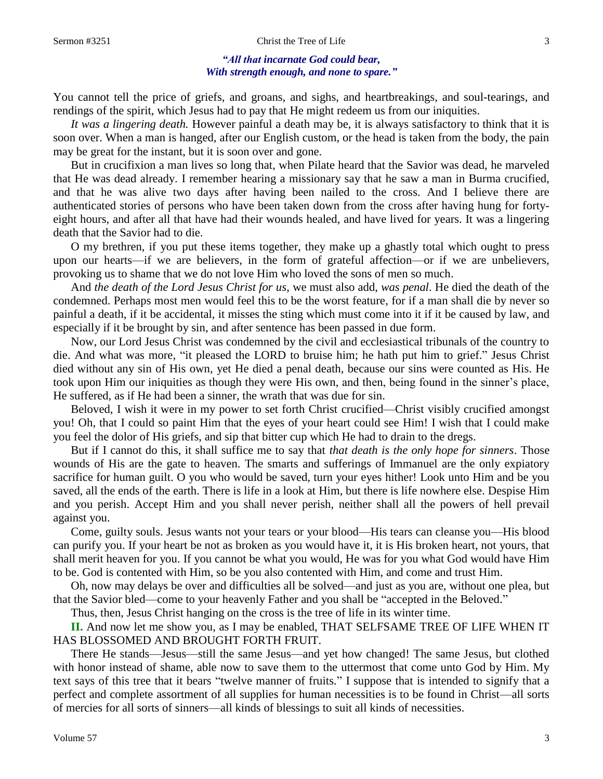### Sermon #3251 Christ the Tree of Life 3

### *"All that incarnate God could bear, With strength enough, and none to spare."*

You cannot tell the price of griefs, and groans, and sighs, and heartbreakings, and soul-tearings, and rendings of the spirit, which Jesus had to pay that He might redeem us from our iniquities.

*It was a lingering death.* However painful a death may be, it is always satisfactory to think that it is soon over. When a man is hanged, after our English custom, or the head is taken from the body, the pain may be great for the instant, but it is soon over and gone.

But in crucifixion a man lives so long that, when Pilate heard that the Savior was dead, he marveled that He was dead already. I remember hearing a missionary say that he saw a man in Burma crucified, and that he was alive two days after having been nailed to the cross. And I believe there are authenticated stories of persons who have been taken down from the cross after having hung for fortyeight hours, and after all that have had their wounds healed, and have lived for years. It was a lingering death that the Savior had to die.

O my brethren, if you put these items together, they make up a ghastly total which ought to press upon our hearts—if we are believers, in the form of grateful affection—or if we are unbelievers, provoking us to shame that we do not love Him who loved the sons of men so much.

And *the death of the Lord Jesus Christ for us*, we must also add, *was penal*. He died the death of the condemned. Perhaps most men would feel this to be the worst feature, for if a man shall die by never so painful a death, if it be accidental, it misses the sting which must come into it if it be caused by law, and especially if it be brought by sin, and after sentence has been passed in due form.

Now, our Lord Jesus Christ was condemned by the civil and ecclesiastical tribunals of the country to die. And what was more, "it pleased the LORD to bruise him; he hath put him to grief." Jesus Christ died without any sin of His own, yet He died a penal death, because our sins were counted as His. He took upon Him our iniquities as though they were His own, and then, being found in the sinner's place, He suffered, as if He had been a sinner, the wrath that was due for sin.

Beloved, I wish it were in my power to set forth Christ crucified—Christ visibly crucified amongst you! Oh, that I could so paint Him that the eyes of your heart could see Him! I wish that I could make you feel the dolor of His griefs, and sip that bitter cup which He had to drain to the dregs.

But if I cannot do this, it shall suffice me to say that *that death is the only hope for sinners*. Those wounds of His are the gate to heaven. The smarts and sufferings of Immanuel are the only expiatory sacrifice for human guilt. O you who would be saved, turn your eyes hither! Look unto Him and be you saved, all the ends of the earth. There is life in a look at Him, but there is life nowhere else. Despise Him and you perish. Accept Him and you shall never perish, neither shall all the powers of hell prevail against you.

Come, guilty souls. Jesus wants not your tears or your blood—His tears can cleanse you—His blood can purify you. If your heart be not as broken as you would have it, it is His broken heart, not yours, that shall merit heaven for you. If you cannot be what you would, He was for you what God would have Him to be. God is contented with Him, so be you also contented with Him, and come and trust Him.

Oh, now may delays be over and difficulties all be solved—and just as you are, without one plea, but that the Savior bled—come to your heavenly Father and you shall be "accepted in the Beloved."

Thus, then, Jesus Christ hanging on the cross is the tree of life in its winter time.

**II.** And now let me show you, as I may be enabled, THAT SELFSAME TREE OF LIFE WHEN IT HAS BLOSSOMED AND BROUGHT FORTH FRUIT.

There He stands—Jesus—still the same Jesus—and yet how changed! The same Jesus, but clothed with honor instead of shame, able now to save them to the uttermost that come unto God by Him. My text says of this tree that it bears "twelve manner of fruits." I suppose that is intended to signify that a perfect and complete assortment of all supplies for human necessities is to be found in Christ—all sorts of mercies for all sorts of sinners—all kinds of blessings to suit all kinds of necessities.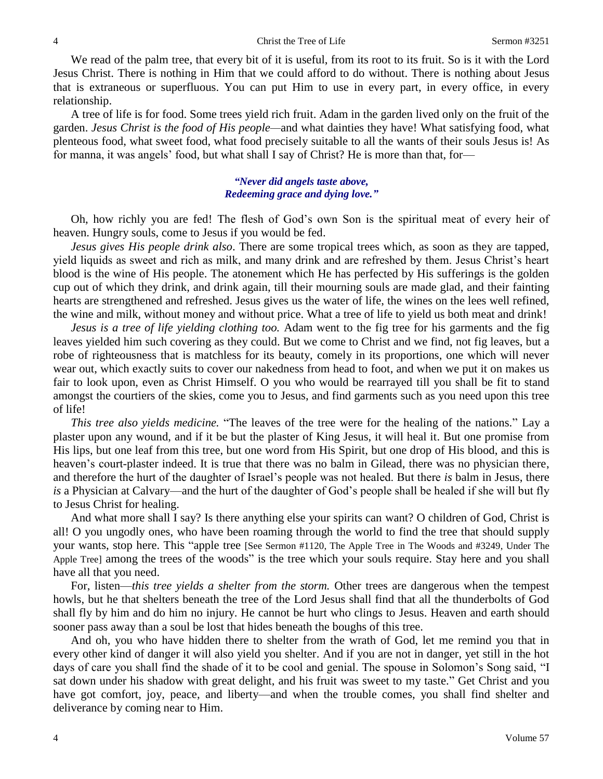We read of the palm tree, that every bit of it is useful, from its root to its fruit. So is it with the Lord Jesus Christ. There is nothing in Him that we could afford to do without. There is nothing about Jesus that is extraneous or superfluous. You can put Him to use in every part, in every office, in every relationship.

A tree of life is for food. Some trees yield rich fruit. Adam in the garden lived only on the fruit of the garden. *Jesus Christ is the food of His people—*and what dainties they have! What satisfying food, what plenteous food, what sweet food, what food precisely suitable to all the wants of their souls Jesus is! As for manna, it was angels' food, but what shall I say of Christ? He is more than that, for—

> *"Never did angels taste above, Redeeming grace and dying love."*

Oh, how richly you are fed! The flesh of God's own Son is the spiritual meat of every heir of heaven. Hungry souls, come to Jesus if you would be fed.

*Jesus gives His people drink also*. There are some tropical trees which, as soon as they are tapped, yield liquids as sweet and rich as milk, and many drink and are refreshed by them. Jesus Christ's heart blood is the wine of His people. The atonement which He has perfected by His sufferings is the golden cup out of which they drink, and drink again, till their mourning souls are made glad, and their fainting hearts are strengthened and refreshed. Jesus gives us the water of life, the wines on the lees well refined, the wine and milk, without money and without price. What a tree of life to yield us both meat and drink!

*Jesus is a tree of life yielding clothing too.* Adam went to the fig tree for his garments and the fig leaves yielded him such covering as they could. But we come to Christ and we find, not fig leaves, but a robe of righteousness that is matchless for its beauty, comely in its proportions, one which will never wear out, which exactly suits to cover our nakedness from head to foot, and when we put it on makes us fair to look upon, even as Christ Himself. O you who would be rearrayed till you shall be fit to stand amongst the courtiers of the skies, come you to Jesus, and find garments such as you need upon this tree of life!

*This tree also yields medicine.* "The leaves of the tree were for the healing of the nations." Lay a plaster upon any wound, and if it be but the plaster of King Jesus, it will heal it. But one promise from His lips, but one leaf from this tree, but one word from His Spirit, but one drop of His blood, and this is heaven's court-plaster indeed. It is true that there was no balm in Gilead, there was no physician there, and therefore the hurt of the daughter of Israel's people was not healed. But there *is* balm in Jesus, there *is* a Physician at Calvary—and the hurt of the daughter of God's people shall be healed if she will but fly to Jesus Christ for healing.

And what more shall I say? Is there anything else your spirits can want? O children of God, Christ is all! O you ungodly ones, who have been roaming through the world to find the tree that should supply your wants, stop here. This "apple tree [See Sermon #1120, The Apple Tree in The Woods and #3249, Under The Apple Tree] among the trees of the woods" is the tree which your souls require. Stay here and you shall have all that you need.

For, listen—*this tree yields a shelter from the storm.* Other trees are dangerous when the tempest howls, but he that shelters beneath the tree of the Lord Jesus shall find that all the thunderbolts of God shall fly by him and do him no injury. He cannot be hurt who clings to Jesus. Heaven and earth should sooner pass away than a soul be lost that hides beneath the boughs of this tree.

And oh, you who have hidden there to shelter from the wrath of God, let me remind you that in every other kind of danger it will also yield you shelter. And if you are not in danger, yet still in the hot days of care you shall find the shade of it to be cool and genial. The spouse in Solomon's Song said, "I sat down under his shadow with great delight, and his fruit was sweet to my taste." Get Christ and you have got comfort, joy, peace, and liberty—and when the trouble comes, you shall find shelter and deliverance by coming near to Him.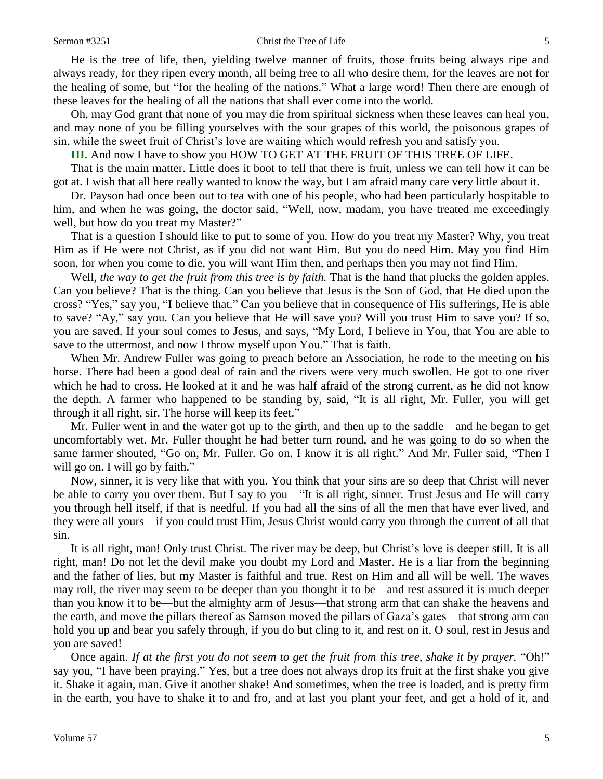### Sermon #3251 Christ the Tree of Life 5

He is the tree of life, then, yielding twelve manner of fruits, those fruits being always ripe and always ready, for they ripen every month, all being free to all who desire them, for the leaves are not for the healing of some, but "for the healing of the nations." What a large word! Then there are enough of these leaves for the healing of all the nations that shall ever come into the world.

Oh, may God grant that none of you may die from spiritual sickness when these leaves can heal you, and may none of you be filling yourselves with the sour grapes of this world, the poisonous grapes of sin, while the sweet fruit of Christ's love are waiting which would refresh you and satisfy you.

**III.** And now I have to show you HOW TO GET AT THE FRUIT OF THIS TREE OF LIFE.

That is the main matter. Little does it boot to tell that there is fruit, unless we can tell how it can be got at. I wish that all here really wanted to know the way, but I am afraid many care very little about it.

Dr. Payson had once been out to tea with one of his people, who had been particularly hospitable to him, and when he was going, the doctor said, "Well, now, madam, you have treated me exceedingly well, but how do you treat my Master?"

That is a question I should like to put to some of you. How do you treat my Master? Why, you treat Him as if He were not Christ, as if you did not want Him. But you do need Him. May you find Him soon, for when you come to die, you will want Him then, and perhaps then you may not find Him.

Well, *the way to get the fruit from this tree is by faith*. That is the hand that plucks the golden apples. Can you believe? That is the thing. Can you believe that Jesus is the Son of God, that He died upon the cross? "Yes," say you, "I believe that." Can you believe that in consequence of His sufferings, He is able to save? "Ay," say you. Can you believe that He will save you? Will you trust Him to save you? If so, you are saved. If your soul comes to Jesus, and says, "My Lord, I believe in You, that You are able to save to the uttermost, and now I throw myself upon You." That is faith.

When Mr. Andrew Fuller was going to preach before an Association, he rode to the meeting on his horse. There had been a good deal of rain and the rivers were very much swollen. He got to one river which he had to cross. He looked at it and he was half afraid of the strong current, as he did not know the depth. A farmer who happened to be standing by, said, "It is all right, Mr. Fuller, you will get through it all right, sir. The horse will keep its feet."

Mr. Fuller went in and the water got up to the girth, and then up to the saddle—and he began to get uncomfortably wet. Mr. Fuller thought he had better turn round, and he was going to do so when the same farmer shouted, "Go on, Mr. Fuller. Go on. I know it is all right." And Mr. Fuller said, "Then I will go on. I will go by faith."

Now, sinner, it is very like that with you. You think that your sins are so deep that Christ will never be able to carry you over them. But I say to you—"It is all right, sinner. Trust Jesus and He will carry you through hell itself, if that is needful. If you had all the sins of all the men that have ever lived, and they were all yours—if you could trust Him, Jesus Christ would carry you through the current of all that sin.

It is all right, man! Only trust Christ. The river may be deep, but Christ's love is deeper still. It is all right, man! Do not let the devil make you doubt my Lord and Master. He is a liar from the beginning and the father of lies, but my Master is faithful and true. Rest on Him and all will be well. The waves may roll, the river may seem to be deeper than you thought it to be—and rest assured it is much deeper than you know it to be—but the almighty arm of Jesus—that strong arm that can shake the heavens and the earth, and move the pillars thereof as Samson moved the pillars of Gaza's gates—that strong arm can hold you up and bear you safely through, if you do but cling to it, and rest on it. O soul, rest in Jesus and you are saved!

Once again. *If at the first you do not seem to get the fruit from this tree, shake it by prayer.* "Oh!" say you, "I have been praying." Yes, but a tree does not always drop its fruit at the first shake you give it. Shake it again, man. Give it another shake! And sometimes, when the tree is loaded, and is pretty firm in the earth, you have to shake it to and fro, and at last you plant your feet, and get a hold of it, and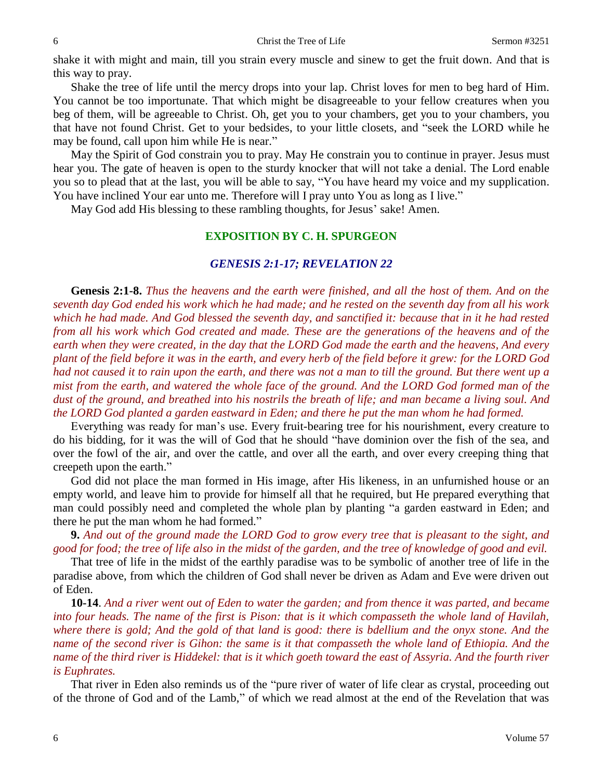shake it with might and main, till you strain every muscle and sinew to get the fruit down. And that is this way to pray.

Shake the tree of life until the mercy drops into your lap. Christ loves for men to beg hard of Him. You cannot be too importunate. That which might be disagreeable to your fellow creatures when you beg of them, will be agreeable to Christ. Oh, get you to your chambers, get you to your chambers, you that have not found Christ. Get to your bedsides, to your little closets, and "seek the LORD while he may be found, call upon him while He is near."

May the Spirit of God constrain you to pray. May He constrain you to continue in prayer. Jesus must hear you. The gate of heaven is open to the sturdy knocker that will not take a denial. The Lord enable you so to plead that at the last, you will be able to say, "You have heard my voice and my supplication. You have inclined Your ear unto me. Therefore will I pray unto You as long as I live."

May God add His blessing to these rambling thoughts, for Jesus' sake! Amen.

### **EXPOSITION BY C. H. SPURGEON**

### *GENESIS 2:1-17; REVELATION 22*

**Genesis 2:1-8.** *Thus the heavens and the earth were finished, and all the host of them. And on the seventh day God ended his work which he had made; and he rested on the seventh day from all his work which he had made. And God blessed the seventh day, and sanctified it: because that in it he had rested from all his work which God created and made. These are the generations of the heavens and of the earth when they were created, in the day that the LORD God made the earth and the heavens, And every plant of the field before it was in the earth, and every herb of the field before it grew: for the LORD God had not caused it to rain upon the earth, and there was not a man to till the ground. But there went up a mist from the earth, and watered the whole face of the ground. And the LORD God formed man of the dust of the ground, and breathed into his nostrils the breath of life; and man became a living soul. And the LORD God planted a garden eastward in Eden; and there he put the man whom he had formed.*

Everything was ready for man's use. Every fruit-bearing tree for his nourishment, every creature to do his bidding, for it was the will of God that he should "have dominion over the fish of the sea, and over the fowl of the air, and over the cattle, and over all the earth, and over every creeping thing that creepeth upon the earth."

God did not place the man formed in His image, after His likeness, in an unfurnished house or an empty world, and leave him to provide for himself all that he required, but He prepared everything that man could possibly need and completed the whole plan by planting "a garden eastward in Eden; and there he put the man whom he had formed."

**9.** *And out of the ground made the LORD God to grow every tree that is pleasant to the sight, and good for food; the tree of life also in the midst of the garden, and the tree of knowledge of good and evil.* 

That tree of life in the midst of the earthly paradise was to be symbolic of another tree of life in the paradise above, from which the children of God shall never be driven as Adam and Eve were driven out of Eden.

**10-14**. *And a river went out of Eden to water the garden; and from thence it was parted, and became into four heads. The name of the first is Pison: that is it which compasseth the whole land of Havilah, where there is gold; And the gold of that land is good: there is bdellium and the onyx stone. And the name of the second river is Gihon: the same is it that compasseth the whole land of Ethiopia. And the name of the third river is Hiddekel: that is it which goeth toward the east of Assyria. And the fourth river is Euphrates.* 

That river in Eden also reminds us of the "pure river of water of life clear as crystal, proceeding out of the throne of God and of the Lamb," of which we read almost at the end of the Revelation that was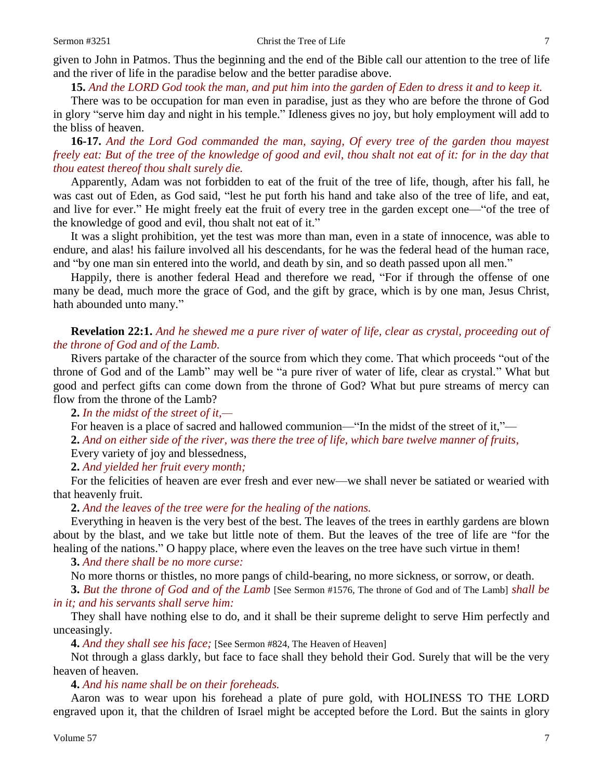given to John in Patmos. Thus the beginning and the end of the Bible call our attention to the tree of life and the river of life in the paradise below and the better paradise above.

**15.** *And the LORD God took the man, and put him into the garden of Eden to dress it and to keep it.* 

There was to be occupation for man even in paradise, just as they who are before the throne of God in glory "serve him day and night in his temple." Idleness gives no joy, but holy employment will add to the bliss of heaven.

**16-17.** *And the Lord God commanded the man, saying, Of every tree of the garden thou mayest freely eat: But of the tree of the knowledge of good and evil, thou shalt not eat of it: for in the day that thou eatest thereof thou shalt surely die.*

Apparently, Adam was not forbidden to eat of the fruit of the tree of life, though, after his fall, he was cast out of Eden, as God said, "lest he put forth his hand and take also of the tree of life, and eat, and live for ever." He might freely eat the fruit of every tree in the garden except one—"of the tree of the knowledge of good and evil, thou shalt not eat of it."

It was a slight prohibition, yet the test was more than man, even in a state of innocence, was able to endure, and alas! his failure involved all his descendants, for he was the federal head of the human race, and "by one man sin entered into the world, and death by sin, and so death passed upon all men."

Happily, there is another federal Head and therefore we read, "For if through the offense of one many be dead, much more the grace of God, and the gift by grace, which is by one man, Jesus Christ, hath abounded unto many."

## **Revelation 22:1.** *And he shewed me a pure river of water of life, clear as crystal, proceeding out of the throne of God and of the Lamb.*

Rivers partake of the character of the source from which they come. That which proceeds "out of the throne of God and of the Lamb" may well be "a pure river of water of life, clear as crystal." What but good and perfect gifts can come down from the throne of God? What but pure streams of mercy can flow from the throne of the Lamb?

**2.** *In the midst of the street of it,—*

For heaven is a place of sacred and hallowed communion—"In the midst of the street of it,"— **2.** *And on either side of the river, was there the tree of life, which bare twelve manner of fruits,* Every variety of joy and blessedness,

**2.** *And yielded her fruit every month;*

For the felicities of heaven are ever fresh and ever new—we shall never be satiated or wearied with that heavenly fruit.

**2.** *And the leaves of the tree were for the healing of the nations.* 

Everything in heaven is the very best of the best. The leaves of the trees in earthly gardens are blown about by the blast, and we take but little note of them. But the leaves of the tree of life are "for the healing of the nations." O happy place, where even the leaves on the tree have such virtue in them!

**3.** *And there shall be no more curse:*

No more thorns or thistles, no more pangs of child-bearing, no more sickness, or sorrow, or death.

**3.** *But the throne of God and of the Lamb* [See Sermon #1576, The throne of God and of The Lamb] *shall be in it; and his servants shall serve him:*

They shall have nothing else to do, and it shall be their supreme delight to serve Him perfectly and unceasingly.

**4.** *And they shall see his face;* [See Sermon #824, The Heaven of Heaven]

Not through a glass darkly, but face to face shall they behold their God. Surely that will be the very heaven of heaven.

**4.** *And his name shall be on their foreheads.* 

Aaron was to wear upon his forehead a plate of pure gold, with HOLINESS TO THE LORD engraved upon it, that the children of Israel might be accepted before the Lord. But the saints in glory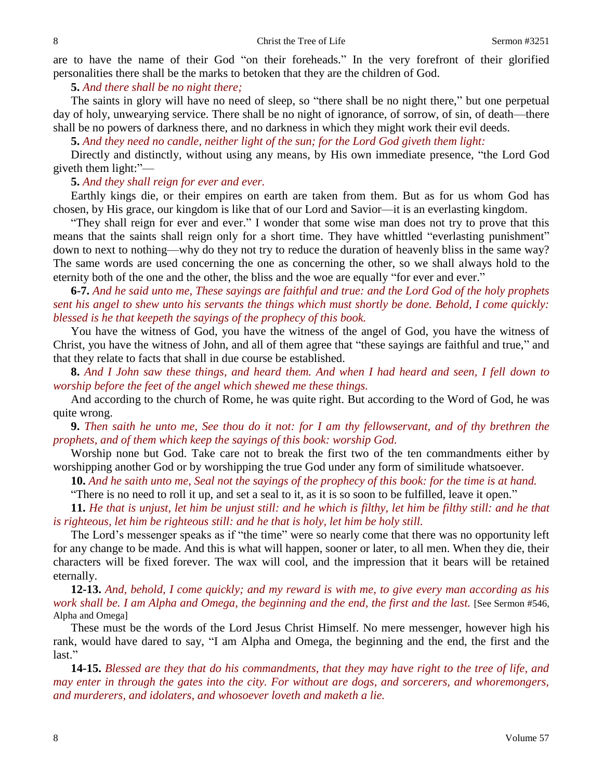are to have the name of their God "on their foreheads." In the very forefront of their glorified personalities there shall be the marks to betoken that they are the children of God.

**5.** *And there shall be no night there;*

The saints in glory will have no need of sleep, so "there shall be no night there," but one perpetual day of holy, unwearying service. There shall be no night of ignorance, of sorrow, of sin, of death—there shall be no powers of darkness there, and no darkness in which they might work their evil deeds.

**5.** *And they need no candle, neither light of the sun; for the Lord God giveth them light:*

Directly and distinctly, without using any means, by His own immediate presence, "the Lord God giveth them light:"—

**5.** *And they shall reign for ever and ever.* 

Earthly kings die, or their empires on earth are taken from them. But as for us whom God has chosen, by His grace, our kingdom is like that of our Lord and Savior—it is an everlasting kingdom.

"They shall reign for ever and ever." I wonder that some wise man does not try to prove that this means that the saints shall reign only for a short time. They have whittled "everlasting punishment" down to next to nothing—why do they not try to reduce the duration of heavenly bliss in the same way? The same words are used concerning the one as concerning the other, so we shall always hold to the eternity both of the one and the other, the bliss and the woe are equally "for ever and ever."

**6-7.** *And he said unto me, These sayings are faithful and true: and the Lord God of the holy prophets sent his angel to shew unto his servants the things which must shortly be done. Behold, I come quickly: blessed is he that keepeth the sayings of the prophecy of this book.*

You have the witness of God, you have the witness of the angel of God, you have the witness of Christ, you have the witness of John, and all of them agree that "these sayings are faithful and true," and that they relate to facts that shall in due course be established.

**8.** *And I John saw these things, and heard them. And when I had heard and seen, I fell down to worship before the feet of the angel which shewed me these things.* 

And according to the church of Rome, he was quite right. But according to the Word of God, he was quite wrong.

**9.** *Then saith he unto me, See thou do it not: for I am thy fellowservant, and of thy brethren the prophets, and of them which keep the sayings of this book: worship God.* 

Worship none but God. Take care not to break the first two of the ten commandments either by worshipping another God or by worshipping the true God under any form of similitude whatsoever.

**10.** *And he saith unto me, Seal not the sayings of the prophecy of this book: for the time is at hand.* 

"There is no need to roll it up, and set a seal to it, as it is so soon to be fulfilled, leave it open."

**11.** *He that is unjust, let him be unjust still: and he which is filthy, let him be filthy still: and he that is righteous, let him be righteous still: and he that is holy, let him be holy still.* 

The Lord's messenger speaks as if "the time" were so nearly come that there was no opportunity left for any change to be made. And this is what will happen, sooner or later, to all men. When they die, their characters will be fixed forever. The wax will cool, and the impression that it bears will be retained eternally.

**12-13.** *And, behold, I come quickly; and my reward is with me, to give every man according as his work shall be. I am Alpha and Omega, the beginning and the end, the first and the last.* [See Sermon #546, Alpha and Omega]

These must be the words of the Lord Jesus Christ Himself. No mere messenger, however high his rank, would have dared to say, "I am Alpha and Omega, the beginning and the end, the first and the last."

**14-15.** *Blessed are they that do his commandments, that they may have right to the tree of life, and may enter in through the gates into the city. For without are dogs, and sorcerers, and whoremongers, and murderers, and idolaters, and whosoever loveth and maketh a lie.*